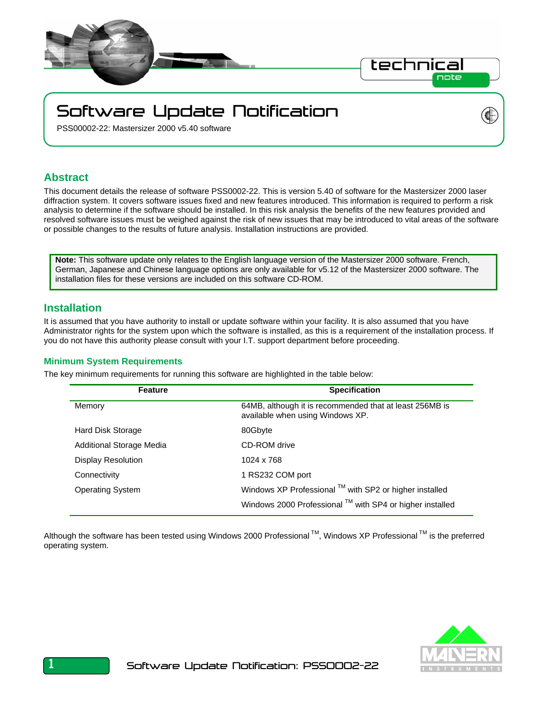

# Software Update Notification

PSS00002-22: Mastersizer 2000 v5.40 software

### **Abstract**

This document details the release of software PSS0002-22. This is version 5.40 of software for the Mastersizer 2000 laser diffraction system. It covers software issues fixed and new features introduced. This information is required to perform a risk analysis to determine if the software should be installed. In this risk analysis the benefits of the new features provided and resolved software issues must be weighed against the risk of new issues that may be introduced to vital areas of the software or possible changes to the results of future analysis. Installation instructions are provided.

**Note:** This software update only relates to the English language version of the Mastersizer 2000 software. French, German, Japanese and Chinese language options are only available for v5.12 of the Mastersizer 2000 software. The installation files for these versions are included on this software CD-ROM.

### **Installation**

It is assumed that you have authority to install or update software within your facility. It is also assumed that you have Administrator rights for the system upon which the software is installed, as this is a requirement of the installation process. If you do not have this authority please consult with your I.T. support department before proceeding.

### **Minimum System Requirements**

The key minimum requirements for running this software are highlighted in the table below:

| <b>Feature</b>            | <b>Specification</b>                                                                        |
|---------------------------|---------------------------------------------------------------------------------------------|
| Memory                    | 64MB, although it is recommended that at least 256MB is<br>available when using Windows XP. |
| Hard Disk Storage         | 80Gbyte                                                                                     |
| Additional Storage Media  | CD-ROM drive                                                                                |
| <b>Display Resolution</b> | 1024 x 768                                                                                  |
| Connectivity              | 1 RS232 COM port                                                                            |
| <b>Operating System</b>   | Windows XP Professional ™ with SP2 or higher installed                                      |
|                           | Windows 2000 Professional ™ with SP4 or higher installed                                    |

Although the software has been tested using Windows 2000 Professional<sup>™</sup>, Windows XP Professional<sup>™</sup> is the preferred operating system.





1 Software Update Notification: PSS0002-22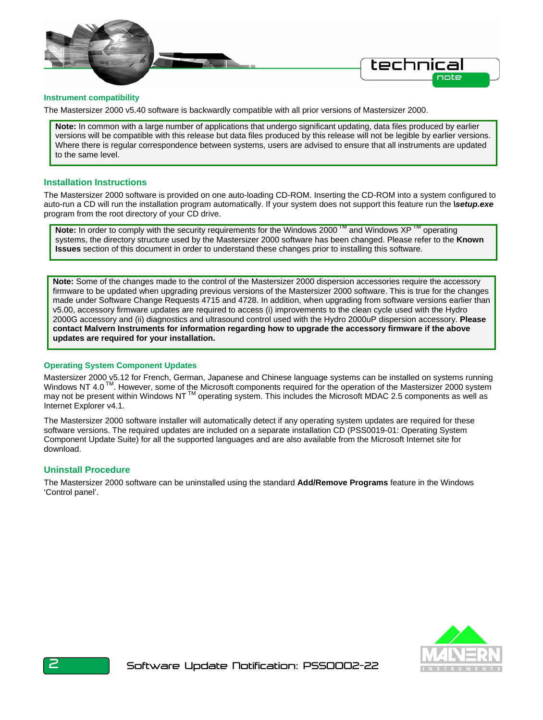

#### **Instrument compatibility**

The Mastersizer 2000 v5.40 software is backwardly compatible with all prior versions of Mastersizer 2000.

**Note:** In common with a large number of applications that undergo significant updating, data files produced by earlier versions will be compatible with this release but data files produced by this release will not be legible by earlier versions. Where there is regular correspondence between systems, users are advised to ensure that all instruments are updated to the same level.

#### **Installation Instructions**

The Mastersizer 2000 software is provided on one auto-loading CD-ROM. Inserting the CD-ROM into a system configured to auto-run a CD will run the installation program automatically. If your system does not support this feature run the *\setup.exe* program from the root directory of your CD drive.

**Note:** In order to comply with the security requirements for the Windows 2000<sup>™</sup> and Windows XP™ operating systems, the directory structure used by the Mastersizer 2000 software has been changed. Please refer to the **Known Issues** section of this document in order to understand these changes prior to installing this software.

**Note:** Some of the changes made to the control of the Mastersizer 2000 dispersion accessories require the accessory firmware to be updated when upgrading previous versions of the Mastersizer 2000 software. This is true for the changes made under Software Change Requests 4715 and 4728. In addition, when upgrading from software versions earlier than v5.00, accessory firmware updates are required to access (i) improvements to the clean cycle used with the Hydro 2000G accessory and (ii) diagnostics and ultrasound control used with the Hydro 2000uP dispersion accessory. **Please contact Malvern Instruments for information regarding how to upgrade the accessory firmware if the above updates are required for your installation.** 

#### **Operating System Component Updates**

Mastersizer 2000 v5.12 for French, German, Japanese and Chinese language systems can be installed on systems running Windows NT 4.0<sup>TM</sup>. However, some of the Microsoft components required for the operation of the Mastersizer 2000 system may not be present within Windows NT TM operating system. This includes the Microsoft MDAC 2.5 components as well as Internet Explorer v4.1.

The Mastersizer 2000 software installer will automatically detect if any operating system updates are required for these software versions. The required updates are included on a separate installation CD (PSS0019-01: Operating System Component Update Suite) for all the supported languages and are also available from the Microsoft Internet site for download.

### **Uninstall Procedure**

The Mastersizer 2000 software can be uninstalled using the standard **Add/Remove Programs** feature in the Windows 'Control panel'.

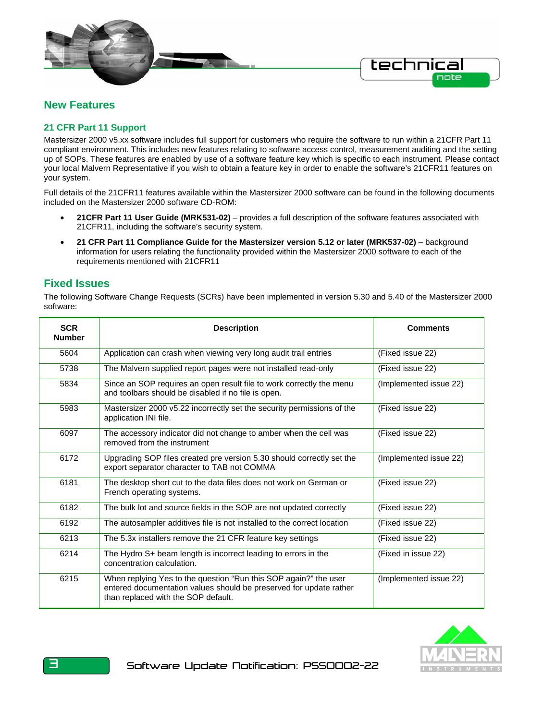

# **New Features**

### **21 CFR Part 11 Support**

Mastersizer 2000 v5.xx software includes full support for customers who require the software to run within a 21CFR Part 11 compliant environment. This includes new features relating to software access control, measurement auditing and the setting up of SOPs. These features are enabled by use of a software feature key which is specific to each instrument. Please contact your local Malvern Representative if you wish to obtain a feature key in order to enable the software's 21CFR11 features on your system.

Full details of the 21CFR11 features available within the Mastersizer 2000 software can be found in the following documents included on the Mastersizer 2000 software CD-ROM:

- **21CFR Part 11 User Guide (MRK531-02)**  provides a full description of the software features associated with 21CFR11, including the software's security system.
- **21 CFR Part 11 Compliance Guide for the Mastersizer version 5.12 or later (MRK537-02)** background information for users relating the functionality provided within the Mastersizer 2000 software to each of the requirements mentioned with 21CFR11

### **Fixed Issues**

The following Software Change Requests (SCRs) have been implemented in version 5.30 and 5.40 of the Mastersizer 2000 software:

| <b>SCR</b><br><b>Number</b> | <b>Description</b>                                                                                                                                                            | <b>Comments</b>        |
|-----------------------------|-------------------------------------------------------------------------------------------------------------------------------------------------------------------------------|------------------------|
| 5604                        | Application can crash when viewing very long audit trail entries                                                                                                              | (Fixed issue 22)       |
| 5738                        | The Malvern supplied report pages were not installed read-only                                                                                                                | (Fixed issue 22)       |
| 5834                        | Since an SOP requires an open result file to work correctly the menu<br>and toolbars should be disabled if no file is open.                                                   | (Implemented issue 22) |
| 5983                        | Mastersizer 2000 v5.22 incorrectly set the security permissions of the<br>application INI file.                                                                               | (Fixed issue 22)       |
| 6097                        | The accessory indicator did not change to amber when the cell was<br>removed from the instrument                                                                              | (Fixed issue 22)       |
| 6172                        | Upgrading SOP files created pre version 5.30 should correctly set the<br>export separator character to TAB not COMMA                                                          | (Implemented issue 22) |
| 6181                        | The desktop short cut to the data files does not work on German or<br>French operating systems.                                                                               | (Fixed issue 22)       |
| 6182                        | The bulk lot and source fields in the SOP are not updated correctly                                                                                                           | (Fixed issue 22)       |
| 6192                        | The autosampler additives file is not installed to the correct location                                                                                                       | (Fixed issue 22)       |
| 6213                        | The 5.3x installers remove the 21 CFR feature key settings                                                                                                                    | (Fixed issue 22)       |
| 6214                        | The Hydro S+ beam length is incorrect leading to errors in the<br>concentration calculation.                                                                                  | (Fixed in issue 22)    |
| 6215                        | When replying Yes to the question "Run this SOP again?" the user<br>entered documentation values should be preserved for update rather<br>than replaced with the SOP default. | (Implemented issue 22) |

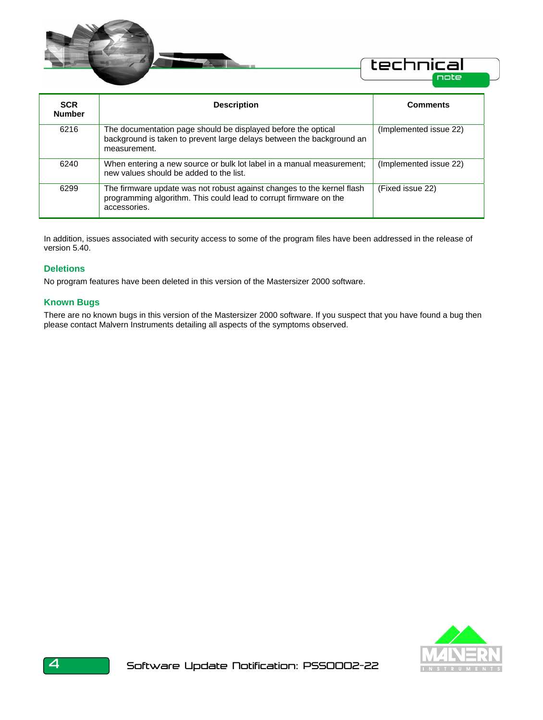

| <b>SCR</b><br><b>Number</b> | <b>Description</b>                                                                                                                                          | <b>Comments</b>        |
|-----------------------------|-------------------------------------------------------------------------------------------------------------------------------------------------------------|------------------------|
| 6216                        | The documentation page should be displayed before the optical<br>background is taken to prevent large delays between the background an<br>measurement.      | (Implemented issue 22) |
| 6240                        | When entering a new source or bulk lot label in a manual measurement;<br>new values should be added to the list.                                            | (Implemented issue 22) |
| 6299                        | The firmware update was not robust against changes to the kernel flash<br>programming algorithm. This could lead to corrupt firmware on the<br>accessories. | (Fixed issue 22)       |

In addition, issues associated with security access to some of the program files have been addressed in the release of version 5.40.

### **Deletions**

No program features have been deleted in this version of the Mastersizer 2000 software.

### **Known Bugs**

There are no known bugs in this version of the Mastersizer 2000 software. If you suspect that you have found a bug then please contact Malvern Instruments detailing all aspects of the symptoms observed.

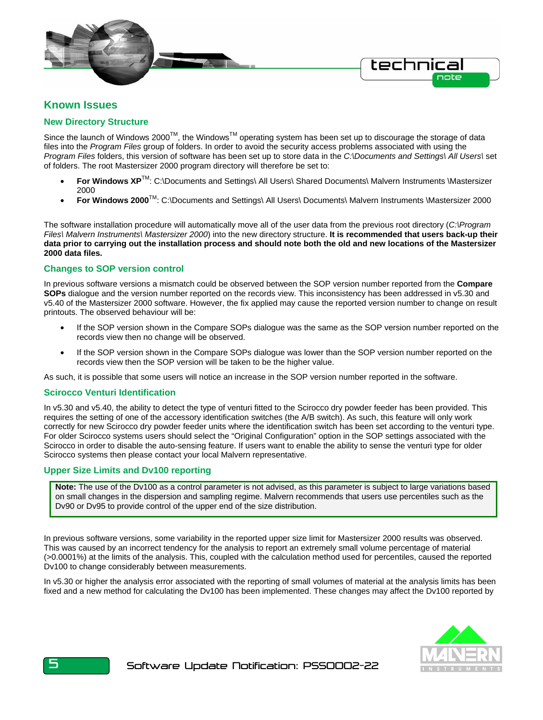

### **Known Issues**

### **New Directory Structure**

Since the launch of Windows 2000™, the Windows<sup>™</sup> operating system has been set up to discourage the storage of data files into the *Program Files* group of folders. In order to avoid the security access problems associated with using the *Program Files* folders, this version of software has been set up to store data in the *C:\Documents and Settings\ All Users\* set of folders. The root Mastersizer 2000 program directory will therefore be set to:

- **For Windows XP**<sup>TM</sup>: C:\Documents and Settings\ All Users\ Shared Documents\ Malvern Instruments \Mastersizer 2000
- **For Windows 2000**<sup>TM</sup>: C:\Documents and Settings\ All Users\ Documents\ Malvern Instruments \Mastersizer 2000

The software installation procedure will automatically move all of the user data from the previous root directory (*C:\Program Files\ Malvern Instruments\ Mastersizer 2000*) into the new directory structure. **It is recommended that users back-up their data prior to carrying out the installation process and should note both the old and new locations of the Mastersizer 2000 data files.**

### **Changes to SOP version control**

In previous software versions a mismatch could be observed between the SOP version number reported from the **Compare SOPs** dialogue and the version number reported on the records view. This inconsistency has been addressed in v5.30 and v5.40 of the Mastersizer 2000 software. However, the fix applied may cause the reported version number to change on result printouts. The observed behaviour will be:

- If the SOP version shown in the Compare SOPs dialogue was the same as the SOP version number reported on the records view then no change will be observed.
- If the SOP version shown in the Compare SOPs dialogue was lower than the SOP version number reported on the records view then the SOP version will be taken to be the higher value.

As such, it is possible that some users will notice an increase in the SOP version number reported in the software.

### **Scirocco Venturi Identification**

In v5.30 and v5.40, the ability to detect the type of venturi fitted to the Scirocco dry powder feeder has been provided. This requires the setting of one of the accessory identification switches (the A/B switch). As such, this feature will only work correctly for new Scirocco dry powder feeder units where the identification switch has been set according to the venturi type. For older Scirocco systems users should select the "Original Configuration" option in the SOP settings associated with the Scirocco in order to disable the auto-sensing feature. If users want to enable the ability to sense the venturi type for older Scirocco systems then please contact your local Malvern representative.

#### **Upper Size Limits and Dv100 reporting**

**Note:** The use of the Dv100 as a control parameter is not advised, as this parameter is subject to large variations based on small changes in the dispersion and sampling regime. Malvern recommends that users use percentiles such as the Dv90 or Dv95 to provide control of the upper end of the size distribution.

In previous software versions, some variability in the reported upper size limit for Mastersizer 2000 results was observed. This was caused by an incorrect tendency for the analysis to report an extremely small volume percentage of material (>0.0001%) at the limits of the analysis. This, coupled with the calculation method used for percentiles, caused the reported Dv100 to change considerably between measurements.

In v5.30 or higher the analysis error associated with the reporting of small volumes of material at the analysis limits has been fixed and a new method for calculating the Dv100 has been implemented. These changes may affect the Dv100 reported by